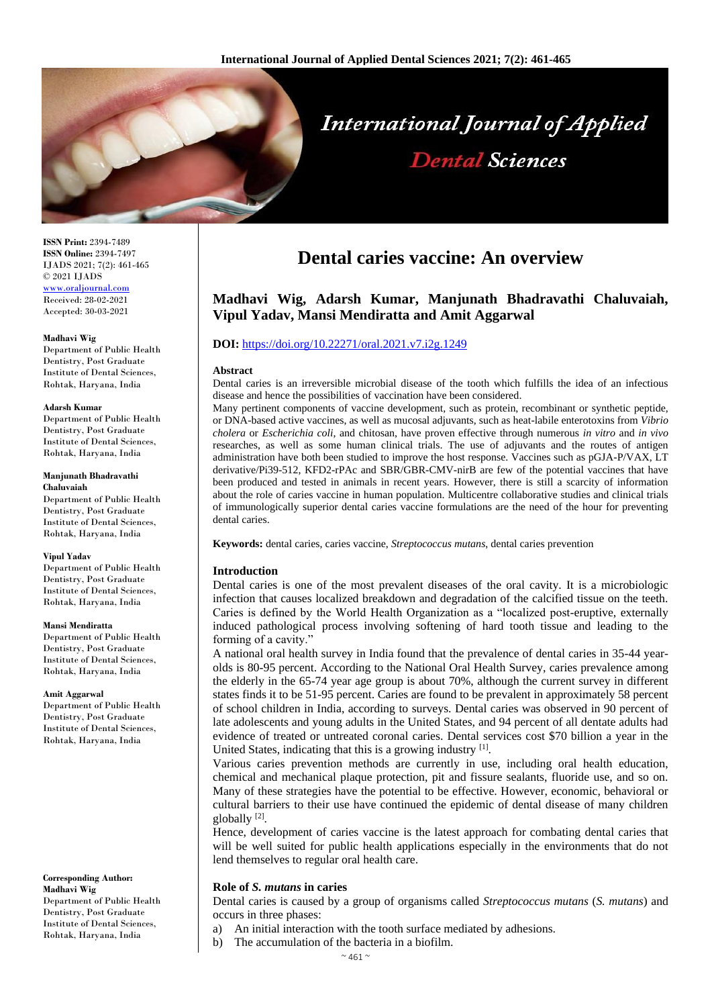

**ISSN Print:** 2394-7489 **ISSN Online:** 2394-7497 IJADS 2021; 7(2): 461-465 © 2021 IJADS [www.oraljournal.com](http://www.oraljournal.com/) Received: 28-02-2021 Accepted: 30-03-2021

#### **Madhavi Wig**

Department of Public Health Dentistry, Post Graduate Institute of Dental Sciences, Rohtak, Haryana, India

#### **Adarsh Kumar**

Department of Public Health Dentistry, Post Graduate Institute of Dental Sciences, Rohtak, Haryana, India

#### **Manjunath Bhadravathi Chaluvaiah**

Department of Public Health Dentistry, Post Graduate Institute of Dental Sciences, Rohtak, Haryana, India

#### **Vipul Yadav**

Department of Public Health Dentistry, Post Graduate Institute of Dental Sciences, Rohtak, Haryana, India

#### **Mansi Mendiratta**

Department of Public Health Dentistry, Post Graduate Institute of Dental Sciences, Rohtak, Haryana, India

#### **Amit Aggarwal**

Department of Public Health Dentistry, Post Graduate Institute of Dental Sciences, Rohtak, Haryana, India

#### **Corresponding Author: Madhavi Wig**

Department of Public Health Dentistry, Post Graduate Institute of Dental Sciences, Rohtak, Haryana, India

# **Dental caries vaccine: An overview**

# **Madhavi Wig, Adarsh Kumar, Manjunath Bhadravathi Chaluvaiah, Vipul Yadav, Mansi Mendiratta and Amit Aggarwal**

# **DOI:** <https://doi.org/10.22271/oral.2021.v7.i2g.1249>

#### **Abstract**

Dental caries is an irreversible microbial disease of the tooth which fulfills the idea of an infectious disease and hence the possibilities of vaccination have been considered.

Many pertinent components of vaccine development, such as protein, recombinant or synthetic peptide, or DNA-based active vaccines, as well as mucosal adjuvants, such as heat-labile enterotoxins from *Vibrio cholera* or *Escherichia coli*, and chitosan, have proven effective through numerous *in vitro* and *in vivo* researches, as well as some human clinical trials. The use of adjuvants and the routes of antigen administration have both been studied to improve the host response. Vaccines such as pGJA-P/VAX, LT derivative/Pi39-512, KFD2-rPAc and SBR/GBR-CMV-nirB are few of the potential vaccines that have been produced and tested in animals in recent years. However, there is still a scarcity of information about the role of caries vaccine in human population. Multicentre collaborative studies and clinical trials of immunologically superior dental caries vaccine formulations are the need of the hour for preventing dental caries.

**Keywords:** dental caries, caries vaccine, *Streptococcus mutans*, dental caries prevention

# **Introduction**

Dental caries is one of the most prevalent diseases of the oral cavity. It is a microbiologic infection that causes localized breakdown and degradation of the calcified tissue on the teeth. Caries is defined by the World Health Organization as a "localized post-eruptive, externally induced pathological process involving softening of hard tooth tissue and leading to the forming of a cavity."

A national oral health survey in India found that the prevalence of dental caries in 35-44 yearolds is 80-95 percent. According to the National Oral Health Survey, caries prevalence among the elderly in the 65-74 year age group is about 70%, although the current survey in different states finds it to be 51-95 percent. Caries are found to be prevalent in approximately 58 percent of school children in India, according to surveys. Dental caries was observed in 90 percent of late adolescents and young adults in the United States, and 94 percent of all dentate adults had evidence of treated or untreated coronal caries. Dental services cost \$70 billion a year in the United States, indicating that this is a growing industry [1].

Various caries prevention methods are currently in use, including oral health education, chemical and mechanical plaque protection, pit and fissure sealants, fluoride use, and so on. Many of these strategies have the potential to be effective. However, economic, behavioral or cultural barriers to their use have continued the epidemic of dental disease of many children globally<sup>[2]</sup>.

Hence, development of caries vaccine is the latest approach for combating dental caries that will be well suited for public health applications especially in the environments that do not lend themselves to regular oral health care.

# **Role of** *S. mutans* **in caries**

Dental caries is caused by a group of organisms called *Streptococcus mutans* (*S. mutans*) and occurs in three phases:

- a) An initial interaction with the tooth surface mediated by adhesions.
- b) The accumulation of the bacteria in a biofilm.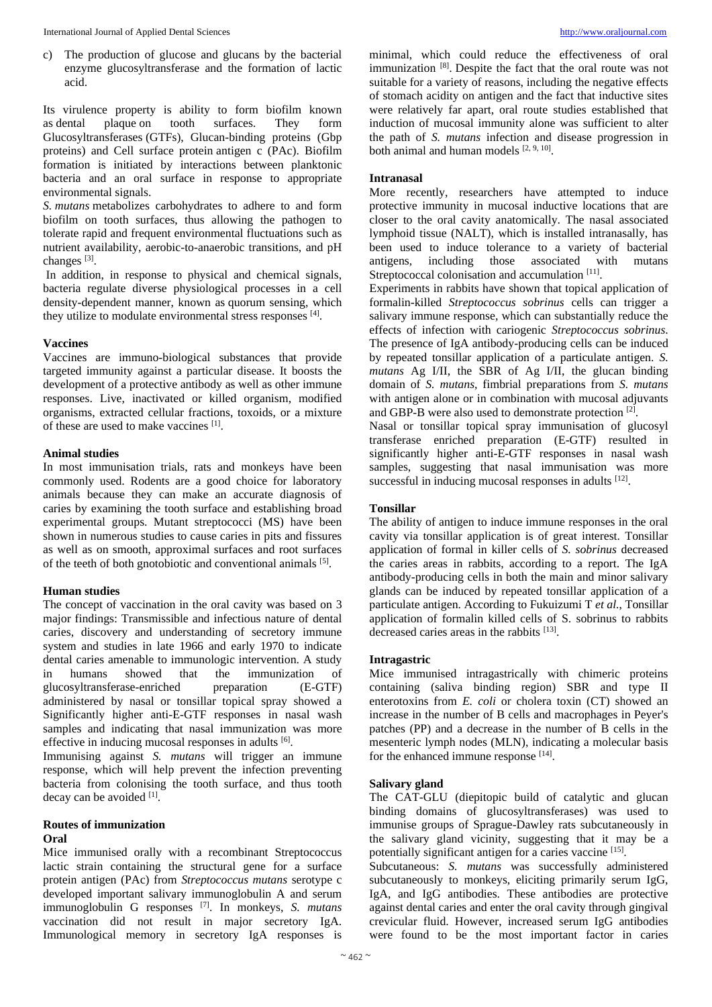c) The production of glucose and glucans by the bacterial enzyme glucosyltransferase and the formation of lactic acid.

Its virulence property is ability to form biofilm known as dental plaque on tooth surfaces. They form Glucosyltransferases (GTFs), Glucan-binding proteins (Gbp proteins) and Cell surface protein antigen c (PAc). Biofilm formation is initiated by interactions between planktonic bacteria and an oral surface in response to appropriate environmental signals.

*S. mutans* metabolizes carbohydrates to adhere to and form biofilm on tooth surfaces, thus allowing the pathogen to tolerate rapid and frequent environmental fluctuations such as nutrient availability, aerobic-to-anaerobic transitions, and pH changes<sup>[3]</sup>.

In addition, in response to physical and chemical signals, bacteria regulate diverse physiological processes in a cell density-dependent manner, known as quorum sensing, which they utilize to modulate environmental stress responses [4].

#### **Vaccines**

Vaccines are immuno-biological substances that provide targeted immunity against a particular disease. It boosts the development of a protective antibody as well as other immune responses. Live, inactivated or killed organism, modified organisms, extracted cellular fractions, toxoids, or a mixture of these are used to make vaccines [1].

# **Animal studies**

In most immunisation trials, rats and monkeys have been commonly used. Rodents are a good choice for laboratory animals because they can make an accurate diagnosis of caries by examining the tooth surface and establishing broad experimental groups. Mutant streptococci (MS) have been shown in numerous studies to cause caries in pits and fissures as well as on smooth, approximal surfaces and root surfaces of the teeth of both gnotobiotic and conventional animals [5].

# **Human studies**

The concept of vaccination in the oral cavity was based on 3 major findings: Transmissible and infectious nature of dental caries, discovery and understanding of secretory immune system and studies in late 1966 and early 1970 to indicate dental caries amenable to immunologic intervention. A study in humans showed that the immunization of glucosyltransferase-enriched preparation (E-GTF) administered by nasal or tonsillar topical spray showed a Significantly higher anti-E-GTF responses in nasal wash samples and indicating that nasal immunization was more effective in inducing mucosal responses in adults [6].

Immunising against *S. mutans* will trigger an immune response, which will help prevent the infection preventing bacteria from colonising the tooth surface, and thus tooth decay can be avoided [1].

#### **Routes of immunization**

# **Oral**

Mice immunised orally with a recombinant Streptococcus lactic strain containing the structural gene for a surface protein antigen (PAc) from *Streptococcus mutans* serotype c developed important salivary immunoglobulin A and serum immunoglobulin G responses [7] . In monkeys, *S. mutans* vaccination did not result in major secretory IgA. Immunological memory in secretory IgA responses is

minimal, which could reduce the effectiveness of oral immunization [8] . Despite the fact that the oral route was not suitable for a variety of reasons, including the negative effects of stomach acidity on antigen and the fact that inductive sites were relatively far apart, oral route studies established that induction of mucosal immunity alone was sufficient to alter the path of *S. mutans* infection and disease progression in both animal and human models [2, 9, 10].

# **Intranasal**

More recently, researchers have attempted to induce protective immunity in mucosal inductive locations that are closer to the oral cavity anatomically. The nasal associated lymphoid tissue (NALT), which is installed intranasally, has been used to induce tolerance to a variety of bacterial antigens, including those associated with mutans Streptococcal colonisation and accumulation [11].

Experiments in rabbits have shown that topical application of formalin-killed *Streptococcus sobrinus* cells can trigger a salivary immune response, which can substantially reduce the effects of infection with cariogenic *Streptococcus sobrinus*. The presence of IgA antibody-producing cells can be induced by repeated tonsillar application of a particulate antigen. *S. mutans* Ag I/II, the SBR of Ag I/II, the glucan binding domain of *S. mutans*, fimbrial preparations from *S. mutans* with antigen alone or in combination with mucosal adjuvants and GBP-B were also used to demonstrate protection [2].

Nasal or tonsillar topical spray immunisation of glucosyl transferase enriched preparation (E-GTF) resulted in significantly higher anti-E-GTF responses in nasal wash samples, suggesting that nasal immunisation was more successful in inducing mucosal responses in adults [12].

# **Tonsillar**

The ability of antigen to induce immune responses in the oral cavity via tonsillar application is of great interest. Tonsillar application of formal in killer cells of *S. sobrinus* decreased the caries areas in rabbits, according to a report. The IgA antibody-producing cells in both the main and minor salivary glands can be induced by repeated tonsillar application of a particulate antigen. According to Fukuizumi T *et al.*, Tonsillar application of formalin killed cells of S. sobrinus to rabbits decreased caries areas in the rabbits [13].

### **Intragastric**

Mice immunised intragastrically with chimeric proteins containing (saliva binding region) SBR and type II enterotoxins from *E. coli* or cholera toxin (CT) showed an increase in the number of B cells and macrophages in Peyer's patches (PP) and a decrease in the number of B cells in the mesenteric lymph nodes (MLN), indicating a molecular basis for the enhanced immune response [14].

# **Salivary gland**

The CAT-GLU (diepitopic build of catalytic and glucan binding domains of glucosyltransferases) was used to immunise groups of Sprague-Dawley rats subcutaneously in the salivary gland vicinity, suggesting that it may be a potentially significant antigen for a caries vaccine [15].

Subcutaneous: *S. mutans* was successfully administered subcutaneously to monkeys, eliciting primarily serum IgG, IgA, and IgG antibodies. These antibodies are protective against dental caries and enter the oral cavity through gingival crevicular fluid. However, increased serum IgG antibodies were found to be the most important factor in caries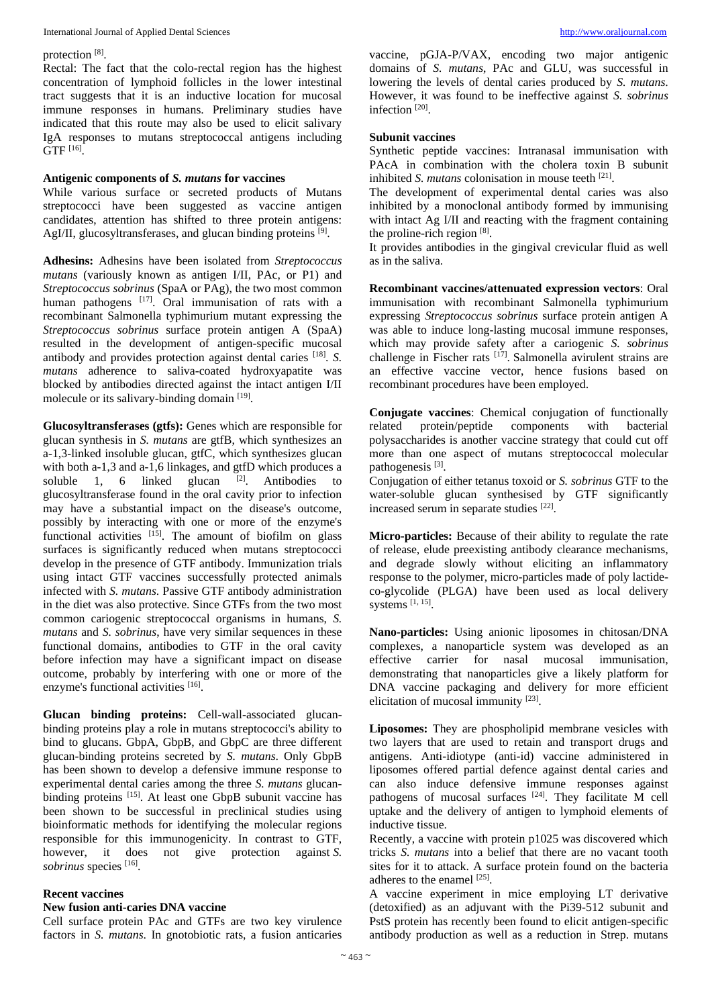protection<sup>[8]</sup>.

Rectal: The fact that the colo-rectal region has the highest concentration of lymphoid follicles in the lower intestinal tract suggests that it is an inductive location for mucosal immune responses in humans. Preliminary studies have indicated that this route may also be used to elicit salivary IgA responses to mutans streptococcal antigens including GTF [16] .

# **Antigenic components of** *S. mutans* **for vaccines**

While various surface or secreted products of Mutans streptococci have been suggested as vaccine antigen candidates, attention has shifted to three protein antigens: AgI/II, glucosyltransferases, and glucan binding proteins [9].

**Adhesins:** Adhesins have been isolated from *Streptococcus mutans* (variously known as antigen I/II, PAc, or P1) and *Streptococcus sobrinus* (SpaA or PAg), the two most common human pathogens [17]. Oral immunisation of rats with a recombinant Salmonella typhimurium mutant expressing the *Streptococcus sobrinus* surface protein antigen A (SpaA) resulted in the development of antigen-specific mucosal antibody and provides protection against dental caries [18] . *S. mutans* adherence to saliva-coated hydroxyapatite was blocked by antibodies directed against the intact antigen I/II molecule or its salivary-binding domain [19].

**Glucosyltransferases (gtfs):** Genes which are responsible for glucan synthesis in *S. mutans* are gtfB, which synthesizes an a-1,3-linked insoluble glucan, gtfC, which synthesizes glucan with both a-1,3 and a-1,6 linkages, and gtfD which produces a soluble 1, 6 linked glucan  $[2]$ . Antibodies to glucosyltransferase found in the oral cavity prior to infection may have a substantial impact on the disease's outcome, possibly by interacting with one or more of the enzyme's functional activities  $[15]$ . The amount of biofilm on glass surfaces is significantly reduced when mutans streptococci develop in the presence of GTF antibody. Immunization trials using intact GTF vaccines successfully protected animals infected with *S. mutans*. Passive GTF antibody administration in the diet was also protective. Since GTFs from the two most common cariogenic streptococcal organisms in humans, *S. mutans* and *S. sobrinus*, have very similar sequences in these functional domains, antibodies to GTF in the oral cavity before infection may have a significant impact on disease outcome, probably by interfering with one or more of the enzyme's functional activities [16].

**Glucan binding proteins:** Cell-wall-associated glucanbinding proteins play a role in mutans streptococci's ability to bind to glucans. GbpA, GbpB, and GbpC are three different glucan-binding proteins secreted by *S. mutans*. Only GbpB has been shown to develop a defensive immune response to experimental dental caries among the three *S. mutans* glucanbinding proteins [15]. At least one GbpB subunit vaccine has been shown to be successful in preclinical studies using bioinformatic methods for identifying the molecular regions responsible for this immunogenicity. In contrast to GTF, however, it does not give protection against *S.*  sobrinus species<sup>[16]</sup>.

# **Recent vaccines**

#### **New fusion anti-caries DNA vaccine**

Cell surface protein PAc and GTFs are two key virulence factors in *S. mutans*. In gnotobiotic rats, a fusion anticaries

vaccine, pGJA-P/VAX, encoding two major antigenic domains of *S. mutans*, PAc and GLU, was successful in lowering the levels of dental caries produced by *S. mutans*. However, it was found to be ineffective against *S. sobrinus* infection<sup>[20]</sup>.

### **Subunit vaccines**

Synthetic peptide vaccines: Intranasal immunisation with PAcA in combination with the cholera toxin B subunit inhibited *S. mutans* colonisation in mouse teeth <sup>[21]</sup>.

The development of experimental dental caries was also inhibited by a monoclonal antibody formed by immunising with intact Ag I/II and reacting with the fragment containing the proline-rich region [8].

It provides antibodies in the gingival crevicular fluid as well as in the saliva.

**Recombinant vaccines/attenuated expression vectors**: Oral immunisation with recombinant Salmonella typhimurium expressing *Streptococcus sobrinus* surface protein antigen A was able to induce long-lasting mucosal immune responses, which may provide safety after a cariogenic *S. sobrinus* challenge in Fischer rats [17] . Salmonella avirulent strains are an effective vaccine vector, hence fusions based on recombinant procedures have been employed.

**Conjugate vaccines**: Chemical conjugation of functionally related protein/peptide components with bacterial polysaccharides is another vaccine strategy that could cut off more than one aspect of mutans streptococcal molecular pathogenesis<sup>[3]</sup>.

Conjugation of either tetanus toxoid or *S. sobrinus* GTF to the water-soluble glucan synthesised by GTF significantly increased serum in separate studies [22].

**Micro-particles:** Because of their ability to regulate the rate of release, elude preexisting antibody clearance mechanisms, and degrade slowly without eliciting an inflammatory response to the polymer, micro-particles made of poly lactideco-glycolide (PLGA) have been used as local delivery systems [1, 15] .

**Nano-particles:** Using anionic liposomes in chitosan/DNA complexes, a nanoparticle system was developed as an effective carrier for nasal mucosal immunisation, demonstrating that nanoparticles give a likely platform for DNA vaccine packaging and delivery for more efficient elicitation of mucosal immunity [23].

**Liposomes:** They are phospholipid membrane vesicles with two layers that are used to retain and transport drugs and antigens. Anti-idiotype (anti-id) vaccine administered in liposomes offered partial defence against dental caries and can also induce defensive immune responses against pathogens of mucosal surfaces [24]. They facilitate M cell uptake and the delivery of antigen to lymphoid elements of inductive tissue.

Recently, a vaccine with protein p1025 was discovered which tricks *S. mutans* into a belief that there are no vacant tooth sites for it to attack. A surface protein found on the bacteria adheres to the enamel [25] .

A vaccine experiment in mice employing LT derivative (detoxified) as an adjuvant with the Pi39-512 subunit and PstS protein has recently been found to elicit antigen-specific antibody production as well as a reduction in Strep. mutans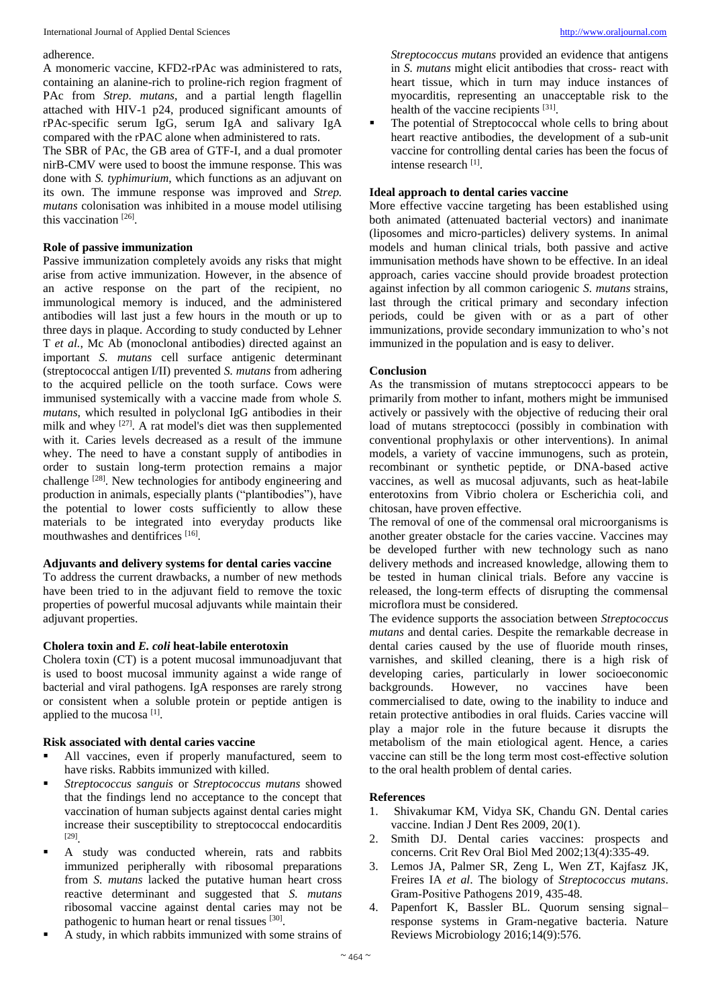#### adherence.

A monomeric vaccine, KFD2-rPAc was administered to rats, containing an alanine-rich to proline-rich region fragment of PAc from *Strep. mutans*, and a partial length flagellin attached with HIV-1 p24, produced significant amounts of rPAc-specific serum IgG, serum IgA and salivary IgA compared with the rPAC alone when administered to rats.

The SBR of PAc, the GB area of GTF-I, and a dual promoter nirB-CMV were used to boost the immune response. This was done with *S. typhimurium*, which functions as an adjuvant on its own. The immune response was improved and *Strep. mutans* colonisation was inhibited in a mouse model utilising this vaccination<sup>[26]</sup>.

### **Role of passive immunization**

Passive immunization completely avoids any risks that might arise from active immunization. However, in the absence of an active response on the part of the recipient, no immunological memory is induced, and the administered antibodies will last just a few hours in the mouth or up to three days in plaque. According to study conducted by Lehner T *et al.*, Mc Ab (monoclonal antibodies) directed against an important *S. mutans* cell surface antigenic determinant (streptococcal antigen I/II) prevented *S. mutans* from adhering to the acquired pellicle on the tooth surface. Cows were immunised systemically with a vaccine made from whole *S. mutans*, which resulted in polyclonal IgG antibodies in their milk and whey <sup>[27]</sup>. A rat model's diet was then supplemented with it. Caries levels decreased as a result of the immune whey. The need to have a constant supply of antibodies in order to sustain long-term protection remains a major challenge<sup>[28]</sup>. New technologies for antibody engineering and production in animals, especially plants ("plantibodies"), have the potential to lower costs sufficiently to allow these materials to be integrated into everyday products like mouthwashes and dentifrices [16].

### **Adjuvants and delivery systems for dental caries vaccine**

To address the current drawbacks, a number of new methods have been tried to in the adjuvant field to remove the toxic properties of powerful mucosal adjuvants while maintain their adjuvant properties.

# **Cholera toxin and** *E. coli* **heat-labile enterotoxin**

Cholera toxin (CT) is a potent mucosal immunoadjuvant that is used to boost mucosal immunity against a wide range of bacterial and viral pathogens. IgA responses are rarely strong or consistent when a soluble protein or peptide antigen is applied to the mucosa [1].

### **Risk associated with dental caries vaccine**

- All vaccines, even if properly manufactured, seem to have risks. Rabbits immunized with killed.
- *Streptococcus sanguis* or *Streptococcus mutans* showed that the findings lend no acceptance to the concept that vaccination of human subjects against dental caries might increase their susceptibility to streptococcal endocarditis [29] .
- A study was conducted wherein, rats and rabbits immunized peripherally with ribosomal preparations from *S. mutans* lacked the putative human heart cross reactive determinant and suggested that *S. mutans* ribosomal vaccine against dental caries may not be pathogenic to human heart or renal tissues [30].
- A study, in which rabbits immunized with some strains of

*Streptococcus mutans* provided an evidence that antigens in *S. mutans* might elicit antibodies that cross- react with heart tissue, which in turn may induce instances of myocarditis, representing an unacceptable risk to the health of the vaccine recipients [31].

The potential of Streptococcal whole cells to bring about heart reactive antibodies, the development of a sub-unit vaccine for controlling dental caries has been the focus of intense research [1] .

# **Ideal approach to dental caries vaccine**

More effective vaccine targeting has been established using both animated (attenuated bacterial vectors) and inanimate (liposomes and micro-particles) delivery systems. In animal models and human clinical trials, both passive and active immunisation methods have shown to be effective. In an ideal approach, caries vaccine should provide broadest protection against infection by all common cariogenic *S. mutans* strains, last through the critical primary and secondary infection periods, could be given with or as a part of other immunizations, provide secondary immunization to who's not immunized in the population and is easy to deliver.

#### **Conclusion**

As the transmission of mutans streptococci appears to be primarily from mother to infant, mothers might be immunised actively or passively with the objective of reducing their oral load of mutans streptococci (possibly in combination with conventional prophylaxis or other interventions). In animal models, a variety of vaccine immunogens, such as protein, recombinant or synthetic peptide, or DNA-based active vaccines, as well as mucosal adjuvants, such as heat-labile enterotoxins from Vibrio cholera or Escherichia coli, and chitosan, have proven effective.

The removal of one of the commensal oral microorganisms is another greater obstacle for the caries vaccine. Vaccines may be developed further with new technology such as nano delivery methods and increased knowledge, allowing them to be tested in human clinical trials. Before any vaccine is released, the long-term effects of disrupting the commensal microflora must be considered.

The evidence supports the association between *Streptococcus mutans* and dental caries. Despite the remarkable decrease in dental caries caused by the use of fluoride mouth rinses, varnishes, and skilled cleaning, there is a high risk of developing caries, particularly in lower socioeconomic backgrounds. However, no vaccines have been commercialised to date, owing to the inability to induce and retain protective antibodies in oral fluids. Caries vaccine will play a major role in the future because it disrupts the metabolism of the main etiological agent. Hence, a caries vaccine can still be the long term most cost-effective solution to the oral health problem of dental caries.

#### **References**

- 1. Shivakumar KM, Vidya SK, Chandu GN. Dental caries vaccine. Indian J Dent Res 2009, 20(1).
- 2. Smith DJ. Dental caries vaccines: prospects and concerns. Crit Rev Oral Biol Med 2002;13(4):335-49.
- 3. Lemos JA, Palmer SR, Zeng L, Wen ZT, Kajfasz JK, Freires IA *et al*. The biology of *Streptococcus mutans*. Gram‐Positive Pathogens 2019, 435-48.
- 4. Papenfort K, Bassler BL. Quorum sensing signal– response systems in Gram-negative bacteria. Nature Reviews Microbiology 2016;14(9):576.